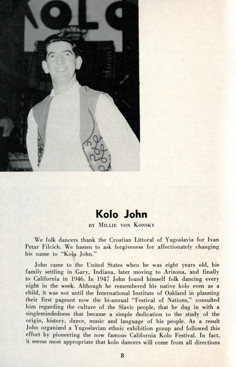

## **Kolo John**

## BY MILLIE VON KONSKY

We folk dancers thank the Croatian Littoral of Yugoslavia for Ivan Petar Filcich. We hasten to ask forgiveness for affectionately changing his name to "Kolo John."

John came to the United States when he was eight years old, his family settling in Gary, Indiana, later moving to Arizona, and finally to California in 1946. In 1947 John found himself folk dancing every night in the week. Although he remembered his native kolo even as a child, it was not until the International Institute of Oakland in planning their first pageant now the bi-annual "Festival of Nations," consulted him regarding the culture of the Slavic people, that he dug in with a singlemindedness that became a simple dedication to the study of the origin, history, dance, music and language of his people. As a result John organized a Yugoslavian ethnic exhibition group and followed this effort by pioneering the now famous California Kolo Festival. In fact, it seems most appropriate that kolo dancers will come from all directions